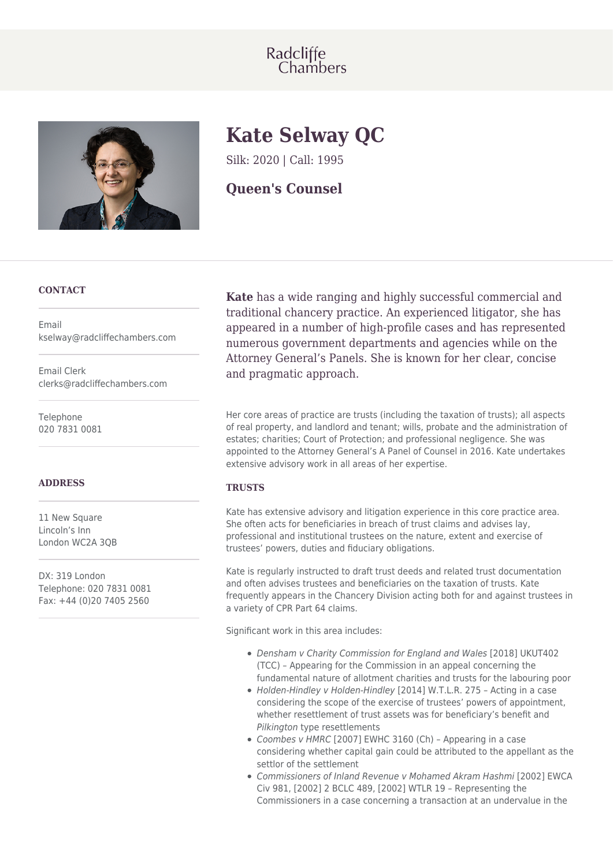# Radcliffe<br>Chambers



# **Kate Selway QC**

Silk: 2020 | Call: 1995

**Queen's Counsel**

# **CONTACT**

Email kselway@radcliffechambers.com

Email Clerk clerks@radcliffechambers.com

Telephone 020 7831 0081

# **ADDRESS**

11 New Square Lincoln's Inn London WC2A 3QB

DX: 319 London Telephone: 020 7831 0081 Fax: +44 (0)20 7405 2560

**Kate** has a wide ranging and highly successful commercial and traditional chancery practice. An experienced litigator, she has appeared in a number of high-profile cases and has represented numerous government departments and agencies while on the Attorney General's Panels. She is known for her clear, concise and pragmatic approach.

Her core areas of practice are trusts (including the taxation of trusts); all aspects of real property, and landlord and tenant; wills, probate and the administration of estates; charities; Court of Protection; and professional negligence. She was appointed to the Attorney General's A Panel of Counsel in 2016. Kate undertakes extensive advisory work in all areas of her expertise.

# **TRUSTS**

Kate has extensive advisory and litigation experience in this core practice area. She often acts for beneficiaries in breach of trust claims and advises lay, professional and institutional trustees on the nature, extent and exercise of trustees' powers, duties and fiduciary obligations.

Kate is regularly instructed to draft trust deeds and related trust documentation and often advises trustees and beneficiaries on the taxation of trusts. Kate frequently appears in the Chancery Division acting both for and against trustees in a variety of CPR Part 64 claims.

Significant work in this area includes:

- Densham v Charity Commission for England and Wales [2018] UKUT402 (TCC) – Appearing for the Commission in an appeal concerning the fundamental nature of allotment charities and trusts for the labouring poor
- Holden-Hindley v Holden-Hindley [2014] W.T.L.R. 275 Acting in a case considering the scope of the exercise of trustees' powers of appointment, whether resettlement of trust assets was for beneficiary's benefit and Pilkington type resettlements
- Coombes v HMRC [2007] EWHC 3160 (Ch) Appearing in a case considering whether capital gain could be attributed to the appellant as the settlor of the settlement
- Commissioners of Inland Revenue v Mohamed Akram Hashmi [2002] EWCA Civ 981, [2002] 2 BCLC 489, [2002] WTLR 19 – Representing the Commissioners in a case concerning a transaction at an undervalue in the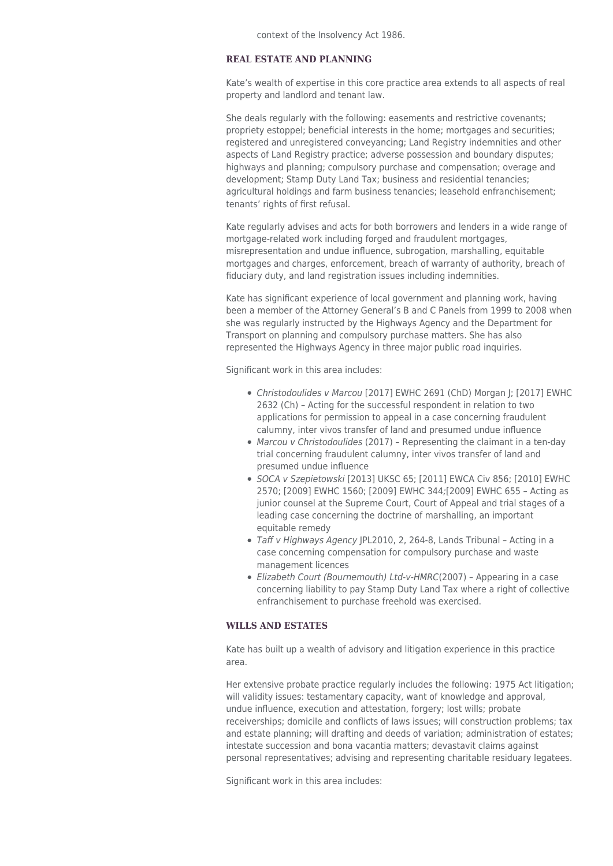# **REAL ESTATE AND PLANNING**

Kate's wealth of expertise in this core practice area extends to all aspects of real property and landlord and tenant law.

She deals regularly with the following: easements and restrictive covenants; propriety estoppel; beneficial interests in the home; mortgages and securities; registered and unregistered conveyancing; Land Registry indemnities and other aspects of Land Registry practice; adverse possession and boundary disputes; highways and planning; compulsory purchase and compensation; overage and development; Stamp Duty Land Tax; business and residential tenancies; agricultural holdings and farm business tenancies; leasehold enfranchisement; tenants' rights of first refusal.

Kate regularly advises and acts for both borrowers and lenders in a wide range of mortgage-related work including forged and fraudulent mortgages, misrepresentation and undue influence, subrogation, marshalling, equitable mortgages and charges, enforcement, breach of warranty of authority, breach of fiduciary duty, and land registration issues including indemnities.

Kate has significant experience of local government and planning work, having been a member of the Attorney General's B and C Panels from 1999 to 2008 when she was regularly instructed by the Highways Agency and the Department for Transport on planning and compulsory purchase matters. She has also represented the Highways Agency in three major public road inquiries.

Significant work in this area includes:

- Christodoulides v Marcou [2017] EWHC 2691 (ChD) Morgan J; [2017] EWHC 2632 (Ch) – Acting for the successful respondent in relation to two applications for permission to appeal in a case concerning fraudulent calumny, inter vivos transfer of land and presumed undue influence
- Marcou v Christodoulides (2017) Representing the claimant in a ten-day trial concerning fraudulent calumny, inter vivos transfer of land and presumed undue influence
- SOCA v Szepietowski [2013] UKSC 65; [2011] EWCA Civ 856; [2010] EWHC 2570; [2009] EWHC 1560; [2009] EWHC 344;[2009] EWHC 655 – Acting as junior counsel at the Supreme Court, Court of Appeal and trial stages of a leading case concerning the doctrine of marshalling, an important equitable remedy
- Taff v Highways Agency JPL2010, 2, 264-8, Lands Tribunal Acting in a case concerning compensation for compulsory purchase and waste management licences
- Elizabeth Court (Bournemouth) Ltd-v-HMRC(2007) Appearing in a case concerning liability to pay Stamp Duty Land Tax where a right of collective enfranchisement to purchase freehold was exercised.

# **WILLS AND ESTATES**

Kate has built up a wealth of advisory and litigation experience in this practice area.

Her extensive probate practice regularly includes the following: 1975 Act litigation; will validity issues: testamentary capacity, want of knowledge and approval, undue influence, execution and attestation, forgery; lost wills; probate receiverships; domicile and conflicts of laws issues; will construction problems; tax and estate planning; will drafting and deeds of variation; administration of estates; intestate succession and bona vacantia matters; devastavit claims against personal representatives; advising and representing charitable residuary legatees.

Significant work in this area includes: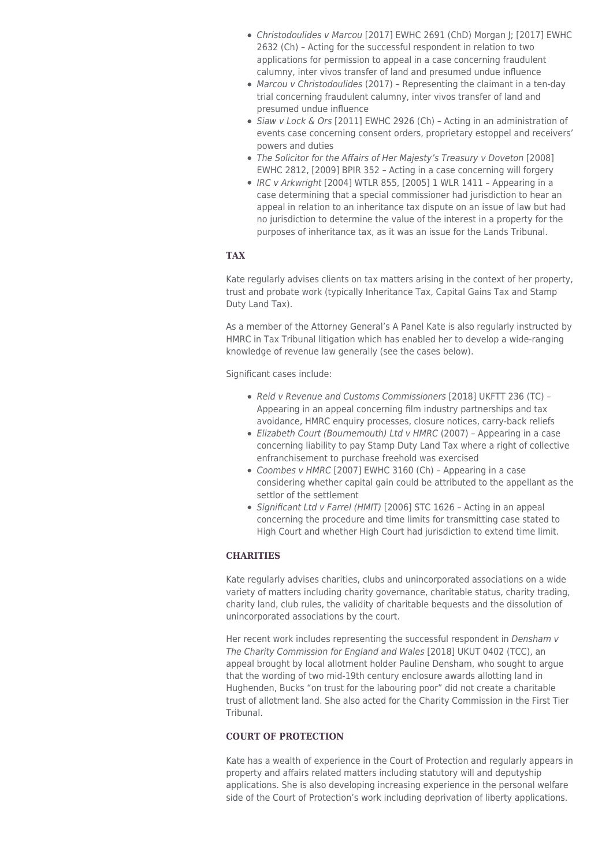- Christodoulides v Marcou [2017] EWHC 2691 (ChD) Morgan J; [2017] EWHC 2632 (Ch) – Acting for the successful respondent in relation to two applications for permission to appeal in a case concerning fraudulent calumny, inter vivos transfer of land and presumed undue influence
- Marcou v Christodoulides (2017) Representing the claimant in a ten-day trial concerning fraudulent calumny, inter vivos transfer of land and presumed undue influence
- Siaw v Lock & Ors [2011] EWHC 2926 (Ch) Acting in an administration of events case concerning consent orders, proprietary estoppel and receivers' powers and duties
- The Solicitor for the Affairs of Her Majesty's Treasury v Doveton [2008] EWHC 2812, [2009] BPIR 352 – Acting in a case concerning will forgery
- IRC v Arkwright [2004] WTLR 855, [2005] 1 WLR 1411 Appearing in a case determining that a special commissioner had jurisdiction to hear an appeal in relation to an inheritance tax dispute on an issue of law but had no jurisdiction to determine the value of the interest in a property for the purposes of inheritance tax, as it was an issue for the Lands Tribunal.

# **TAX**

Kate regularly advises clients on tax matters arising in the context of her property, trust and probate work (typically Inheritance Tax, Capital Gains Tax and Stamp Duty Land Tax).

As a member of the Attorney General's A Panel Kate is also regularly instructed by HMRC in Tax Tribunal litigation which has enabled her to develop a wide-ranging knowledge of revenue law generally (see the cases below).

Significant cases include:

- Reid v Revenue and Customs Commissioners [2018] UKFTT 236 (TC) Appearing in an appeal concerning film industry partnerships and tax avoidance, HMRC enquiry processes, closure notices, carry-back reliefs
- Elizabeth Court (Bournemouth) Ltd v HMRC (2007) Appearing in a case concerning liability to pay Stamp Duty Land Tax where a right of collective enfranchisement to purchase freehold was exercised
- Coombes v HMRC [2007] EWHC 3160 (Ch) Appearing in a case considering whether capital gain could be attributed to the appellant as the settlor of the settlement
- Significant Ltd v Farrel (HMIT) [2006] STC 1626 Acting in an appeal concerning the procedure and time limits for transmitting case stated to High Court and whether High Court had jurisdiction to extend time limit.

# **CHARITIES**

Kate regularly advises charities, clubs and unincorporated associations on a wide variety of matters including charity governance, charitable status, charity trading, charity land, club rules, the validity of charitable bequests and the dissolution of unincorporated associations by the court.

Her recent work includes representing the successful respondent in Densham v The Charity Commission for England and Wales [2018] UKUT 0402 (TCC), an appeal brought by local allotment holder Pauline Densham, who sought to argue that the wording of two mid-19th century enclosure awards allotting land in Hughenden, Bucks "on trust for the labouring poor" did not create a charitable trust of allotment land. She also acted for the Charity Commission in the First Tier Tribunal.

# **COURT OF PROTECTION**

Kate has a wealth of experience in the Court of Protection and regularly appears in property and affairs related matters including statutory will and deputyship applications. She is also developing increasing experience in the personal welfare side of the Court of Protection's work including deprivation of liberty applications.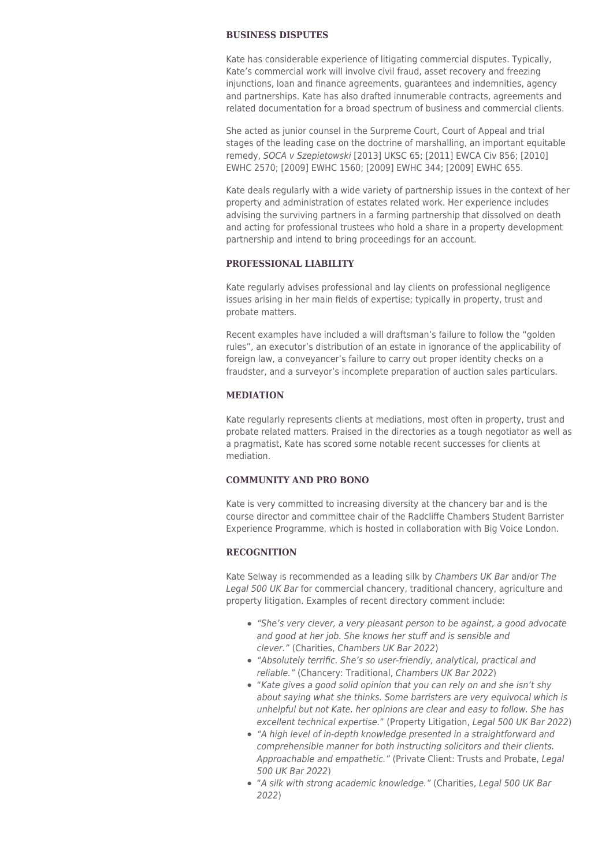#### **BUSINESS DISPUTES**

Kate has considerable experience of litigating commercial disputes. Typically, Kate's commercial work will involve civil fraud, asset recovery and freezing injunctions, loan and finance agreements, guarantees and indemnities, agency and partnerships. Kate has also drafted innumerable contracts, agreements and related documentation for a broad spectrum of business and commercial clients.

She acted as junior counsel in the Surpreme Court, Court of Appeal and trial stages of the leading case on the doctrine of marshalling, an important equitable remedy, SOCA v Szepietowski [2013] UKSC 65; [2011] EWCA Civ 856; [2010] EWHC 2570; [2009] EWHC 1560; [2009] EWHC 344; [2009] EWHC 655.

Kate deals regularly with a wide variety of partnership issues in the context of her property and administration of estates related work. Her experience includes advising the surviving partners in a farming partnership that dissolved on death and acting for professional trustees who hold a share in a property development partnership and intend to bring proceedings for an account.

# **PROFESSIONAL LIABILITY**

Kate regularly advises professional and lay clients on professional negligence issues arising in her main fields of expertise; typically in property, trust and probate matters.

Recent examples have included a will draftsman's failure to follow the "golden rules", an executor's distribution of an estate in ignorance of the applicability of foreign law, a conveyancer's failure to carry out proper identity checks on a fraudster, and a surveyor's incomplete preparation of auction sales particulars.

#### **MEDIATION**

Kate regularly represents clients at mediations, most often in property, trust and probate related matters. Praised in the directories as a tough negotiator as well as a pragmatist, Kate has scored some notable recent successes for clients at mediation.

# **COMMUNITY AND PRO BONO**

Kate is very committed to increasing diversity at the chancery bar and is the course director and committee chair of the Radcliffe Chambers Student Barrister Experience Programme, which is hosted in collaboration with Big Voice London.

#### **RECOGNITION**

Kate Selway is recommended as a leading silk by Chambers UK Bar and/or The Legal 500 UK Bar for commercial chancery, traditional chancery, agriculture and property litigation. Examples of recent directory comment include:

- "She's very clever, a very pleasant person to be against, a good advocate and good at her job. She knows her stuff and is sensible and clever." (Charities, Chambers UK Bar 2022)
- "Absolutely terrific. She's so user-friendly, analytical, practical and reliable." (Chancery: Traditional, Chambers UK Bar 2022)
- "Kate gives a good solid opinion that you can rely on and she isn't shy about saying what she thinks. Some barristers are very equivocal which is unhelpful but not Kate. her opinions are clear and easy to follow. She has excellent technical expertise." (Property Litigation, Legal 500 UK Bar 2022)
- "A high level of in-depth knowledge presented in a straightforward and comprehensible manner for both instructing solicitors and their clients. Approachable and empathetic." (Private Client: Trusts and Probate, Legal 500 UK Bar 2022)
- "A silk with strong academic knowledge." (Charities, Legal 500 UK Bar 2022)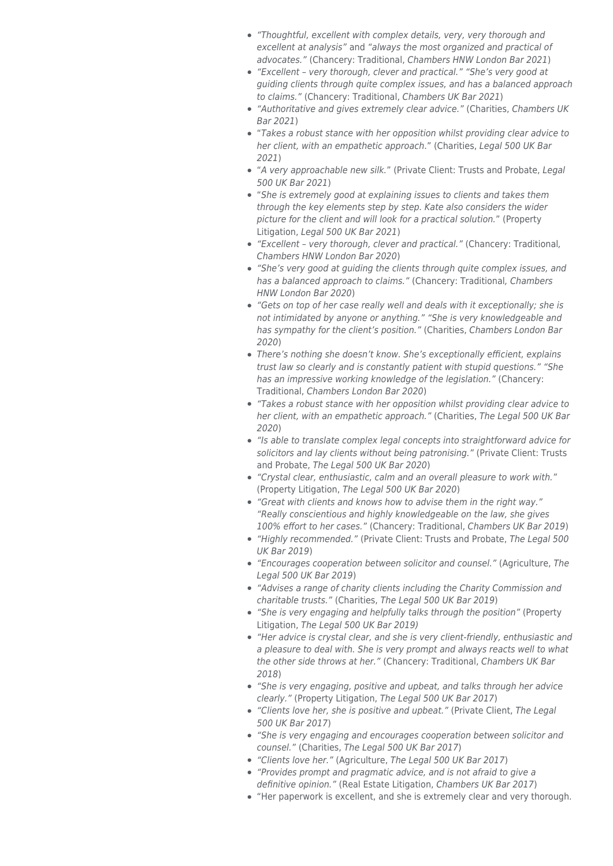- "Thoughtful, excellent with complex details, very, very thorough and excellent at analysis" and "always the most organized and practical of advocates." (Chancery: Traditional, Chambers HNW London Bar 2021)
- "Excellent very thorough, clever and practical." "She's very good at guiding clients through quite complex issues, and has a balanced approach to claims." (Chancery: Traditional, Chambers UK Bar 2021)
- "Authoritative and gives extremely clear advice." (Charities, Chambers UK Bar 2021)
- "Takes a robust stance with her opposition whilst providing clear advice to her client, with an empathetic approach." (Charities, Legal 500 UK Bar 2021)
- "A very approachable new silk." (Private Client: Trusts and Probate, Legal 500 UK Bar 2021)
- "She is extremely good at explaining issues to clients and takes them through the key elements step by step. Kate also considers the wider picture for the client and will look for a practical solution." (Property Litigation, Legal 500 UK Bar 2021)
- "Excellent very thorough, clever and practical." (Chancery: Traditional, Chambers HNW London Bar 2020)
- "She's very good at guiding the clients through quite complex issues, and has a balanced approach to claims." (Chancery: Traditional, Chambers HNW London Bar 2020)
- "Gets on top of her case really well and deals with it exceptionally; she is not intimidated by anyone or anything." "She is very knowledgeable and has sympathy for the client's position." (Charities, Chambers London Bar 2020)
- There's nothing she doesn't know. She's exceptionally efficient, explains trust law so clearly and is constantly patient with stupid questions." "She has an impressive working knowledge of the legislation." (Chancery: Traditional, Chambers London Bar 2020)
- "Takes a robust stance with her opposition whilst providing clear advice to her client, with an empathetic approach." (Charities, The Legal 500 UK Bar 2020)
- "Is able to translate complex legal concepts into straightforward advice for solicitors and lay clients without being patronising." (Private Client: Trusts and Probate, The Legal 500 UK Bar 2020)
- "Crystal clear, enthusiastic, calm and an overall pleasure to work with." (Property Litigation, The Legal 500 UK Bar 2020)
- "Great with clients and knows how to advise them in the right way." "Really conscientious and highly knowledgeable on the law, she gives 100% effort to her cases." (Chancery: Traditional, Chambers UK Bar 2019)
- "Highly recommended." (Private Client: Trusts and Probate, The Legal 500 UK Bar 2019)
- "Encourages cooperation between solicitor and counsel." (Agriculture, The Legal 500 UK Bar 2019)
- "Advises a range of charity clients including the Charity Commission and charitable trusts." (Charities, The Legal 500 UK Bar 2019)
- "She is very engaging and helpfully talks through the position" (Property Litigation, The Legal 500 UK Bar 2019)
- "Her advice is crystal clear, and she is very client-friendly, enthusiastic and a pleasure to deal with. She is very prompt and always reacts well to what the other side throws at her." (Chancery: Traditional, Chambers UK Bar 2018)
- "She is very engaging, positive and upbeat, and talks through her advice clearly." (Property Litigation, The Legal 500 UK Bar 2017)
- "Clients love her, she is positive and upbeat." (Private Client, The Legal 500 UK Bar 2017)
- "She is very engaging and encourages cooperation between solicitor and counsel." (Charities, The Legal 500 UK Bar 2017)
- "Clients love her." (Agriculture, The Legal 500 UK Bar 2017)
- "Provides prompt and pragmatic advice, and is not afraid to give a definitive opinion." (Real Estate Litigation, Chambers UK Bar 2017)
- "Her paperwork is excellent, and she is extremely clear and very thorough.